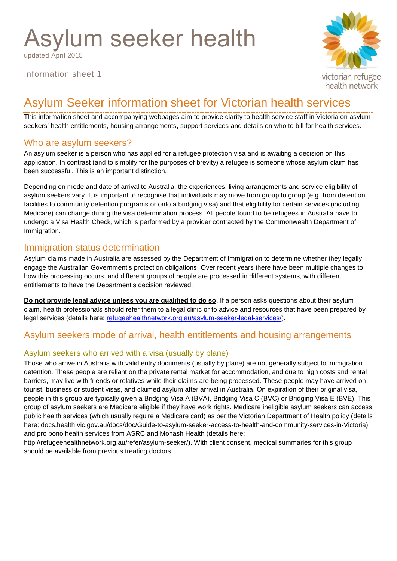# Asylum seeker health

updated April 2015

Information sheet 1



# Asylum Seeker information sheet for Victorian health services

This information sheet and accompanying webpages aim to provide clarity to health service staff in Victoria on asylum seekers' health entitlements, housing arrangements, support services and details on who to bill for health services.

## Who are asylum seekers?

An asylum seeker is a person who has applied for a refugee protection visa and is awaiting a decision on this application. In contrast (and to simplify for the purposes of brevity) a refugee is someone whose asylum claim has been successful. This is an important distinction.

Depending on mode and date of arrival to Australia, the experiences, living arrangements and service eligibility of asylum seekers vary. It is important to recognise that individuals may move from group to group (e.g. from detention facilities to community detention programs or onto a bridging visa) and that eligibility for certain services (including Medicare) can change during the visa determination process. All people found to be refugees in Australia have to undergo a Visa Health Check, which is performed by a provider contracted by the Commonwealth Department of Immigration.

## Immigration status determination

Asylum claims made in Australia are assessed by the Department of Immigration to determine whether they legally engage the Australian Government's protection obligations. Over recent years there have been multiple changes to how this processing occurs, and different groups of people are processed in different systems, with different entitlements to have the Department's decision reviewed.

**Do not provide legal advice unless you are qualified to do so**. If a person asks questions about their asylum claim, health professionals should refer them to a legal clinic or to advice and resources that have been prepared by legal services (details here: [refugeehealthnetwork.org.au/asylum-seeker-legal-services/\)](http://refugeehealthnetwork.org.au/asylum-seeker-legal-services/).

# Asylum seekers mode of arrival, health entitlements and housing arrangements

## Asylum seekers who arrived with a visa (usually by plane)

Those who arrive in Australia with valid entry documents (usually by plane) are not generally subject to immigration detention. These people are reliant on the private rental market for accommodation, and due to high costs and rental barriers, may live with friends or relatives while their claims are being processed. These people may have arrived on tourist, business or student visas, and claimed asylum after arrival in Australia. On expiration of their original visa, people in this group are typically given a Bridging Visa A (BVA), Bridging Visa C (BVC) or Bridging Visa E (BVE). This group of asylum seekers are Medicare eligible if they have work rights. Medicare ineligible asylum seekers can access public health services (which usually require a Medicare card) as per the Victorian Department of Health policy (details here: docs.health.vic.gov.au/docs/doc/Guide-to-asylum-seeker-access-to-health-and-community-services-in-Victoria) and pro bono health services from ASRC and Monash Health (details here:

http://refugeehealthnetwork.org.au/refer/asylum-seeker/). With client consent, medical summaries for this group should be available from previous treating doctors.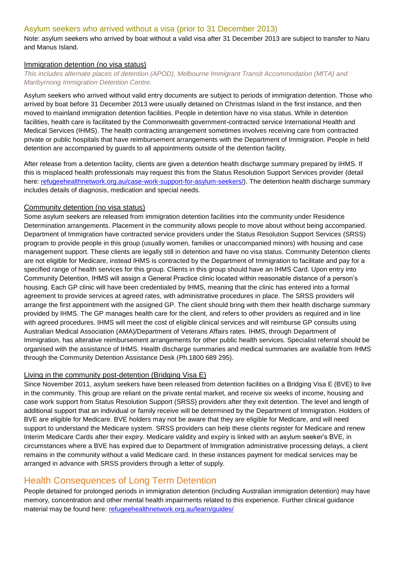#### Asylum seekers who arrived without a visa (prior to 31 December 2013)

Note: asylum seekers who arrived by boat without a valid visa after 31 December 2013 are subject to transfer to Naru and Manus Island.

#### Immigration detention (no visa status)

*This includes alternate places of detention (APOD), Melbourne Immigrant Transit Accommodation (MITA) and Maribyrnong Immigration Detention Centre.*

Asylum seekers who arrived without valid entry documents are subject to periods of immigration detention. Those who arrived by boat before 31 December 2013 were usually detained on Christmas Island in the first instance, and then moved to mainland immigration detention facilities. People in detention have no visa status. While in detention facilities, health care is facilitated by the Commonwealth government-contracted service International Health and Medical Services (IHMS). The health contracting arrangement sometimes involves receiving care from contracted private or public hospitals that have reimbursement arrangements with the Department of Immigration. People in held detention are accompanied by guards to all appointments outside of the detention facility.

After release from a detention facility, clients are given a detention health discharge summary prepared by IHMS. If this is misplaced health professionals may request this from the Status Resolution Support Services provider (detail here: [refugeehealthnetwork.org.au/case-work-support-for-asylum-seekers/\)](http://refugeehealthnetwork.org.au/case-work-support-for-asylum-seekers/). The detention health discharge summary includes details of diagnosis, medication and special needs.

#### Community detention (no visa status)

Some asylum seekers are released from immigration detention facilities into the community under Residence Determination arrangements. Placement in the community allows people to move about without being accompanied. Department of Immigration have contracted service providers under the Status Resolution Support Services (SRSS) program to provide people in this group (usually women, families or unaccompanied minors) with housing and case management support. These clients are legally still in detention and have no visa status. Community Detention clients are not eligible for Medicare, instead IHMS is contracted by the Department of Immigration to facilitate and pay for a specified range of health services for this group. Clients in this group should have an IHMS Card. Upon entry into Community Detention, IHMS will assign a General Practice clinic located within reasonable distance of a person's housing. Each GP clinic will have been credentialed by IHMS, meaning that the clinic has entered into a formal agreement to provide services at agreed rates, with administrative procedures in place. The SRSS providers will arrange the first appointment with the assigned GP. The client should bring with them their health discharge summary provided by IHMS. The GP manages health care for the client, and refers to other providers as required and in line with agreed procedures. IHMS will meet the cost of eligible clinical services and will reimburse GP consults using Australian Medical Association (AMA)/Department of Veterans Affairs rates. IHMS, through Department of Immigration, has alterative reimbursement arrangements for other public health services. Specialist referral should be organised with the assistance of IHMS. Health discharge summaries and medical summaries are available from IHMS through the Community Detention Assistance Desk (Ph.1800 689 295).

#### Living in the community post-detention (Bridging Visa E)

Since November 2011, asylum seekers have been released from detention facilities on a Bridging Visa E (BVE) to live in the community. This group are reliant on the private rental market, and receive six weeks of income, housing and case work support from Status Resolution Support (SRSS) providers after they exit detention. The level and length of additional support that an individual or family receive will be determined by the Department of Immigration. Holders of BVE are eligible for Medicare. BVE holders may not be aware that they are eligible for Medicare, and will need support to understand the Medicare system. SRSS providers can help these clients register for Medicare and renew Interim Medicare Cards after their expiry. Medicare validity and expiry is linked with an asylum seeker's BVE, in circumstances where a BVE has expired due to Department of Immigration administrative processing delays, a client remains in the community without a valid Medicare card. In these instances payment for medical services may be arranged in advance with SRSS providers through a letter of supply.

## Health Consequences of Long Term Detention

People detained for prolonged periods in immigration detention (including Australian immigration detention) may have memory, concentration and other mental health impairments related to this experience. Further clinical guidance material may be found here: [refugeehealthnetwork.org.au/learn/guides/](http://refugeehealthnetwork.org.au/learn/guides/)